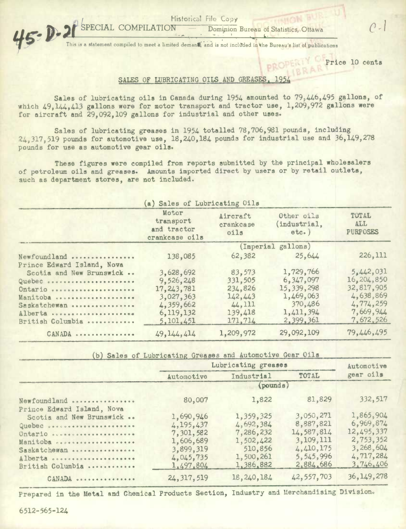Historical File Copy

SP

ATION - Dominion Bureau of Statistics, Ottawa C -

 $45 - D - 21$ This is a statement compiled to meet a limited demand, and is not included in the Bureau's list of publications

**Price 10 cents** 

## SALES OF LUBRICATING OILS AND GREASES

Sales of lubricating oils in Canada during 1954 amounted to 79,446,495 gallons, of which 49,144,413 gallons were for motor transport and tractor use, 1,209,972 gallons were for aircraft and 29,092,109 gallons for industrial and other uses.

Sales of lubricating greases in 1954 totalled 78,706,981 pounds, including  $24,317,519$  pounds for automotive use,  $18,240,184$  pounds for industrial use and  $36,149,278$ pounds for use as automotive gear oils.

These figures were compiled from reports submitted by the principal wholesalers of petroleum oils and greases. Amounts imported direct by users or by retail outlets, such as department stores, are not included.

| (a) Sales of Lubricating Oils                          |                                                     |                               |                                     |                                        |  |  |  |
|--------------------------------------------------------|-----------------------------------------------------|-------------------------------|-------------------------------------|----------------------------------------|--|--|--|
|                                                        | Motor<br>transport<br>and tractor<br>crankcase oils | Aircraft<br>crankcase<br>oils | Other oils<br>(industrial,<br>etc.) | TOTAL<br><b>ALL</b><br><b>PURPOSES</b> |  |  |  |
|                                                        | (Imperial gallons)                                  |                               |                                     |                                        |  |  |  |
| Newfoundland                                           | 138,085                                             | 62,382                        | 25,644                              | 226, 111                               |  |  |  |
| Prince Edward Island, Nova<br>Scotia and New Brunswick | 3,628,692                                           | 83,573                        | 1,729,766                           | 5,442,031                              |  |  |  |
| Quebec<br>Ontario                                      | 9,526,248<br>17, 243, 781                           | 331,505<br>234,826            | 6,347,097<br>15,339,298             | 16,204,850<br>32,817,905               |  |  |  |
| Manitoba<br>Saskatchewan                               | 3,027,363<br>4,359,662                              | 142.443<br>44,111             | 1,469,063<br>370,486                | 4,638,869<br>4,774,259                 |  |  |  |
| Alberta<br>British Columbia                            | 6, 119, 132<br>5,101,451                            | 139,418<br>171,714            | 1,411,394<br>2,399,361              | 7,669,944<br>7.672.526                 |  |  |  |
| CANADA                                                 | 49, 144, 414                                        | 1,209,972                     | 29,092,109                          | 79,446,495                             |  |  |  |

b) Sales of Lubricating Greases and Automotive Gear Oils

|                                                                                                                                                                                                                                | Lubricating greases | Automotive   |              |              |  |  |
|--------------------------------------------------------------------------------------------------------------------------------------------------------------------------------------------------------------------------------|---------------------|--------------|--------------|--------------|--|--|
|                                                                                                                                                                                                                                | Automotive          | Industrial   | TOTAL        | gear oils    |  |  |
|                                                                                                                                                                                                                                | (pounds)            |              |              |              |  |  |
| Newfoundland                                                                                                                                                                                                                   | 80,007              | 1,822        | 81,829       | 332,517      |  |  |
| Prince Edward Island, Nova                                                                                                                                                                                                     |                     |              |              |              |  |  |
| Scotia and New Brunswick                                                                                                                                                                                                       | 1,690,946           | 1,359,325    | 3,050,271    | 1,865,904    |  |  |
| Quebec official and the contract of the second state of the second state of the second state of the second state state of the second state state state state state state state state state state state state state state state | 4, 195, 437         | 4,692,384    | 8,887,821    | 6,969,874    |  |  |
| Ontario                                                                                                                                                                                                                        | 7,301,582           | 7,286,232    | 14,587,814   | 12,495,337   |  |  |
| Manitoba coorresponsessesses                                                                                                                                                                                                   | 1,606,689           | 1,502,422    | 3, 109, 111  | 2,753,352    |  |  |
| Saskatchewan                                                                                                                                                                                                                   | 3,899,319           | 510,856      | 4,410,175    | 3,268,604    |  |  |
| Alberta                                                                                                                                                                                                                        | 4,045,735           | 1,500,261    | 5, 545, 996  | 4,717,284    |  |  |
| British Columbia                                                                                                                                                                                                               | 1,497,804           | 1,386,882    | 2,884,686    | 3,746,406    |  |  |
| CANADA                                                                                                                                                                                                                         | 24, 317, 519        | 18, 240, 184 | 42, 557, 703 | 36, 149, 278 |  |  |

Prepared in the Metal and Chemical Products Section, Industry and Merchandising Division.

6512-565-124